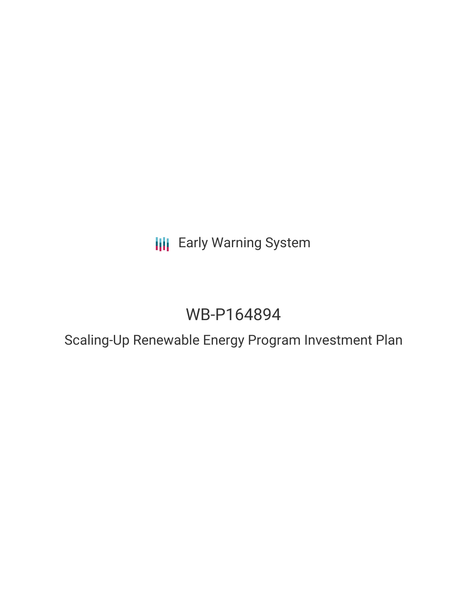# **III** Early Warning System

# WB-P164894

### Scaling-Up Renewable Energy Program Investment Plan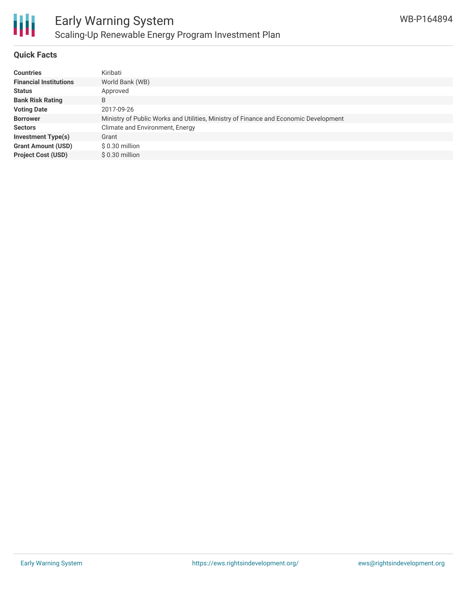

### **Quick Facts**

| <b>Countries</b>              | Kiribati                                                                             |
|-------------------------------|--------------------------------------------------------------------------------------|
| <b>Financial Institutions</b> | World Bank (WB)                                                                      |
| <b>Status</b>                 | Approved                                                                             |
| <b>Bank Risk Rating</b>       | B                                                                                    |
| <b>Voting Date</b>            | 2017-09-26                                                                           |
| <b>Borrower</b>               | Ministry of Public Works and Utilities, Ministry of Finance and Economic Development |
| <b>Sectors</b>                | Climate and Environment, Energy                                                      |
| <b>Investment Type(s)</b>     | Grant                                                                                |
| <b>Grant Amount (USD)</b>     | \$ 0.30 million                                                                      |
| <b>Project Cost (USD)</b>     | $$0.30$ million                                                                      |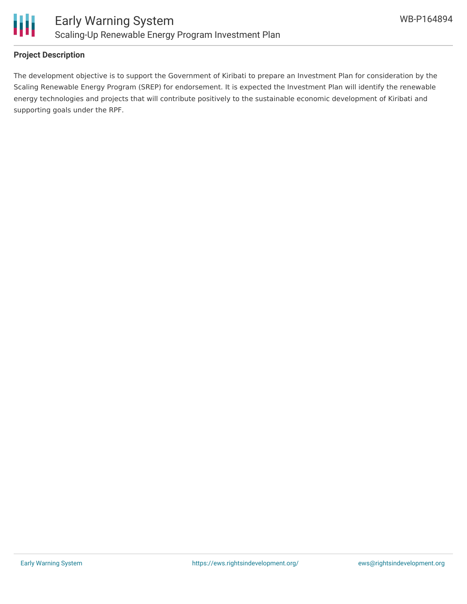

#### **Project Description**

The development objective is to support the Government of Kiribati to prepare an Investment Plan for consideration by the Scaling Renewable Energy Program (SREP) for endorsement. It is expected the Investment Plan will identify the renewable energy technologies and projects that will contribute positively to the sustainable economic development of Kiribati and supporting goals under the RPF.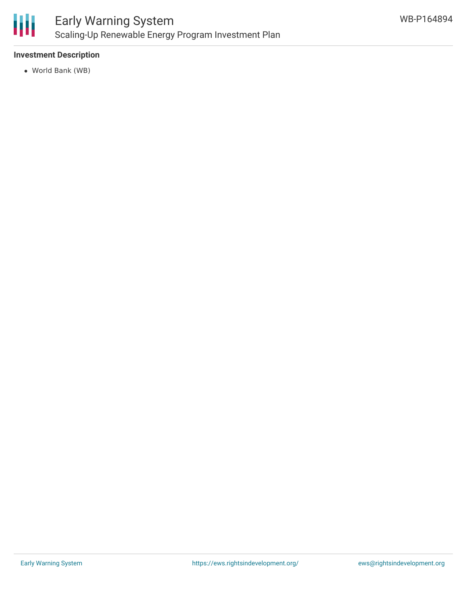

#### **Investment Description**

World Bank (WB)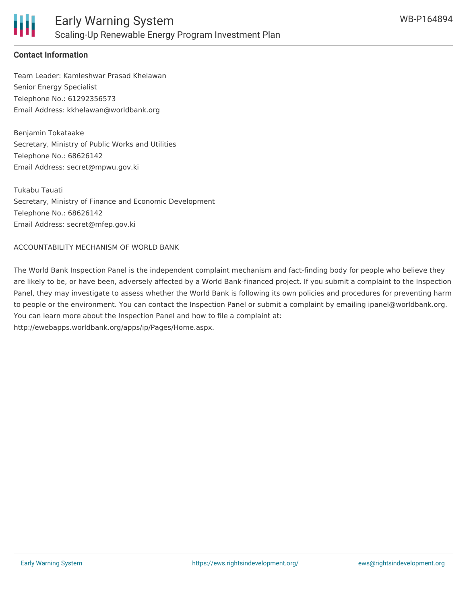

### **Contact Information**

Team Leader: Kamleshwar Prasad Khelawan Senior Energy Specialist Telephone No.: 61292356573 Email Address: kkhelawan@worldbank.org

Benjamin Tokataake Secretary, Ministry of Public Works and Utilities Telephone No.: 68626142 Email Address: secret@mpwu.gov.ki

Tukabu Tauati Secretary, Ministry of Finance and Economic Development Telephone No.: 68626142 Email Address: secret@mfep.gov.ki

#### ACCOUNTABILITY MECHANISM OF WORLD BANK

The World Bank Inspection Panel is the independent complaint mechanism and fact-finding body for people who believe they are likely to be, or have been, adversely affected by a World Bank-financed project. If you submit a complaint to the Inspection Panel, they may investigate to assess whether the World Bank is following its own policies and procedures for preventing harm to people or the environment. You can contact the Inspection Panel or submit a complaint by emailing ipanel@worldbank.org. You can learn more about the Inspection Panel and how to file a complaint at: http://ewebapps.worldbank.org/apps/ip/Pages/Home.aspx.